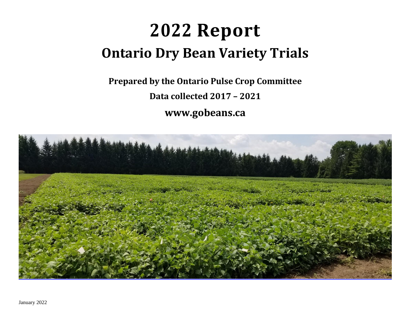# **2022 Report Ontario Dry Bean Variety Trials**

**Prepared by the Ontario Pulse Crop Committee Data collected 2017 – 2021**



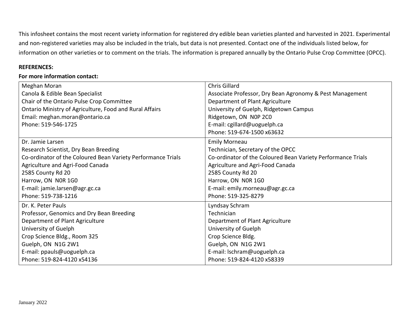This infosheet contains the most recent variety information for registered dry edible bean varieties planted and harvested in 2021. Experimental and non-registered varieties may also be included in the trials, but data is not presented. Contact one of the individuals listed below, for information on other varieties or to comment on the trials. The information is prepared annually by the Ontario Pulse Crop Committee (OPCC).

## **REFERENCES:**

## **For more information contact:**

| Meghan Moran                                                 | Chris Gillard                                                |
|--------------------------------------------------------------|--------------------------------------------------------------|
| Canola & Edible Bean Specialist                              | Associate Professor, Dry Bean Agronomy & Pest Management     |
| Chair of the Ontario Pulse Crop Committee                    | Department of Plant Agriculture                              |
| Ontario Ministry of Agriculture, Food and Rural Affairs      | University of Guelph, Ridgetown Campus                       |
| Email: meghan.moran@ontario.ca                               | Ridgetown, ON NOP 2CO                                        |
| Phone: 519-546-1725                                          | E-mail: cgillard@uoguelph.ca                                 |
|                                                              | Phone: 519-674-1500 x63632                                   |
| Dr. Jamie Larsen                                             | <b>Emily Morneau</b>                                         |
| Research Scientist, Dry Bean Breeding                        | Technician, Secretary of the OPCC                            |
| Co-ordinator of the Coloured Bean Variety Performance Trials | Co-ordinator of the Coloured Bean Variety Performance Trials |
| Agriculture and Agri-Food Canada                             | Agriculture and Agri-Food Canada                             |
| 2585 County Rd 20                                            | 2585 County Rd 20                                            |
| Harrow, ON NOR 1G0                                           | Harrow, ON NOR 1G0                                           |
| E-mail: jamie.larsen@agr.gc.ca                               | E-mail: emily.morneau@agr.gc.ca                              |
| Phone: 519-738-1216                                          | Phone: 519-325-8279                                          |
| Dr. K. Peter Pauls                                           | Lyndsay Schram                                               |
| Professor, Genomics and Dry Bean Breeding                    | Technician                                                   |
| Department of Plant Agriculture                              | Department of Plant Agriculture                              |
| University of Guelph                                         | University of Guelph                                         |
| Crop Science Bldg., Room 325                                 | Crop Science Bldg.                                           |
| Guelph, ON N1G 2W1                                           | Guelph, ON N1G 2W1                                           |
| E-mail: ppauls@uoguelph.ca                                   | E-mail: Ischram@uoguelph.ca                                  |
| Phone: 519-824-4120 x54136                                   | Phone: 519-824-4120 x58339                                   |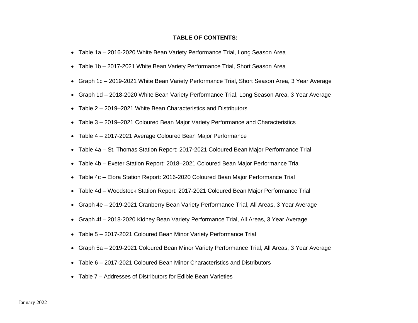#### **TABLE OF CONTENTS:**

- Table 1a 2016-2020 White Bean Variety Performance Trial, Long Season Area
- Table 1b 2017-2021 White Bean Variety Performance Trial, Short Season Area
- Graph 1c 2019-2021 White Bean Variety Performance Trial, Short Season Area, 3 Year Average
- Graph 1d 2018-2020 White Bean Variety Performance Trial, Long Season Area, 3 Year Average
- Table 2 2019–2021 White Bean Characteristics and Distributors
- Table 3 2019–2021 Coloured Bean Major Variety Performance and Characteristics
- Table 4 2017-2021 Average Coloured Bean Major Performance
- Table 4a St. Thomas Station Report: 2017-2021 Coloured Bean Major Performance Trial
- Table 4b Exeter Station Report: 2018–2021 Coloured Bean Major Performance Trial
- Table 4c Elora Station Report: 2016-2020 Coloured Bean Major Performance Trial
- Table 4d Woodstock Station Report: 2017-2021 Coloured Bean Major Performance Trial
- Graph 4e 2019-2021 Cranberry Bean Variety Performance Trial, All Areas, 3 Year Average
- Graph 4f 2018-2020 Kidney Bean Variety Performance Trial, All Areas, 3 Year Average
- Table 5 2017-2021 Coloured Bean Minor Variety Performance Trial
- Graph 5a 2019-2021 Coloured Bean Minor Variety Performance Trial, All Areas, 3 Year Average
- Table 6 2017-2021 Coloured Bean Minor Characteristics and Distributors
- Table 7 Addresses of Distributors for Edible Bean Varieties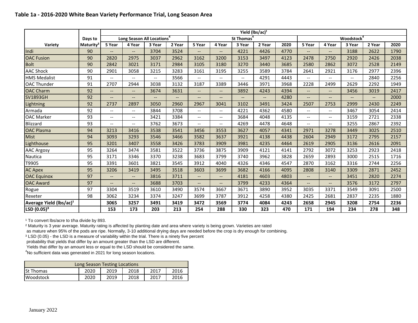### **Table 1a - 2016-2020 White Bean Variety Performance Trial, Long Season Area**

|                                     |                 |                                                     |                                        |                          |                          |                          |                          |                          | Yield (lbs/ac) <sup>1</sup> |      |                          |                          |                        |        |      |
|-------------------------------------|-----------------|-----------------------------------------------------|----------------------------------------|--------------------------|--------------------------|--------------------------|--------------------------|--------------------------|-----------------------------|------|--------------------------|--------------------------|------------------------|--------|------|
|                                     | Days to         |                                                     | Long Season All Locations <sup>4</sup> |                          |                          |                          |                          | St Thomas                |                             |      |                          |                          | Woodstock <sup>4</sup> |        |      |
| Variety                             | <b>Maturity</b> | 5 Year                                              | 4 Year                                 | 3 Year                   | 2 Year                   | 5 Year                   | 4 Year                   | 3 Year                   | 2 Year                      | 2020 | 5 Year                   | 4 Year                   | 3 Year                 | 2 Year | 2020 |
| <b>Indi</b>                         | 90              | $\overline{a}$                                      | $\overline{\phantom{a}}$               | 3704                     | 3524                     | $\overline{\phantom{0}}$ | $\overline{\phantom{a}}$ | 4221                     | 4426                        | 4770 | $-$                      | $\overline{\phantom{0}}$ | 3188                   | 2622   | 1790 |
| <b>OAC Fusion</b>                   | 90              | 2820                                                | 2975                                   | 3037                     | 2962                     | 3162                     | 3200                     | 3153                     | 3497                        | 4123 | 2478                     | 2750                     | 2920                   | 2426   | 2038 |
| <b>Bolt</b>                         | 90              | 2842                                                | 3021                                   | 3171                     | 2984                     | 3105                     | 3180                     | 3270                     | 3440                        | 3685 | 2580                     | 2862                     | 3072                   | 2528   | 2149 |
| <b>AAC Shock</b>                    | 90              | 2901                                                | 3058                                   | 3215                     | 3283                     | 3161                     | 3195                     | 3255                     | 3589                        | 3784 | 2641                     | 2921                     | 3176                   | 2977   | 2396 |
| <b>HMS Medalist</b>                 | 91              | $\hspace{0.05cm} -\hspace{0.05cm} -\hspace{0.05cm}$ | $\overline{\phantom{a}}$               | $\overline{\phantom{a}}$ | 3566                     | $\overline{\phantom{a}}$ | $\overline{\phantom{a}}$ | $\overline{\phantom{a}}$ | 4291                        | 4443 | $-$                      | --                       | --                     | 2840   | 2256 |
| <b>OAC Thunder</b>                  | 91              | 2707                                                | 2944                                   | 3038                     | 3132                     | 3187                     | 3389                     | 3446                     | 3971                        | 3968 | 2228                     | 2499                     | 2629                   | 2292   | 1949 |
| <b>OAC Charm</b>                    | 92              | $\overline{\phantom{a}}$                            | $\overline{\phantom{a}}$               | 3674                     | 3631                     | $\overline{\phantom{a}}$ | $\overline{\phantom{a}}$ | 3892                     | 4243                        | 4394 | --                       | --                       | 3456                   | 3019   | 2417 |
| <b>SV1893GH</b>                     | 92              | $\qquad \qquad -$                                   | $\hspace{0.05cm} \textbf{--}$          | $\qquad \qquad -$        | $\overline{\phantom{a}}$ | $\qquad \qquad -$        | $\qquad \qquad -$        | --                       | $\overline{\phantom{a}}$    | 4280 | --                       | --                       | --                     | --     | 2000 |
| Lightning                           | 92              | 2737                                                | 2897                                   | 3050                     | 2960                     | 2967                     | 3041                     | 3102                     | 3491                        | 3424 | 2507                     | 2753                     | 2999                   | 2430   | 2249 |
| Armada                              | 92              | $\overline{\phantom{a}}$                            | $\overline{\phantom{a}}$               | 3844                     | 3708                     | $\overline{\phantom{a}}$ | $\hspace{0.05cm} \ldots$ | 4221                     | 4362                        | 4580 | $- -$                    | $-$                      | 3467                   | 3054   | 2414 |
| <b>OAC Marker</b>                   | 93              | $\hspace{0.05cm} -\hspace{0.05cm} -\hspace{0.05cm}$ | $\overline{\phantom{m}}$               | 3421                     | 3384                     | $\overline{\phantom{a}}$ | $\overline{\phantom{a}}$ | 3684                     | 4048                        | 4135 | --                       | --                       | 3159                   | 2721   | 2338 |
| <b>Blizzard</b>                     | 93              | $\qquad \qquad -$                                   | $--$                                   | 3762                     | 3673                     | $\overline{\phantom{a}}$ | $\overline{\phantom{a}}$ | 4269                     | 4478                        | 4648 | $-$                      | --                       | 3255                   | 2867   | 2392 |
| <b>OAC Plasma</b>                   | 94              | 3213                                                | 3416                                   | 3538                     | 3541                     | 3456                     | 3553                     | 3627                     | 4057                        | 4341 | 2971                     | 3278                     | 3449                   | 3025   | 2510 |
| <b>Mist</b>                         | 94              | 3093                                                | 3293                                   | 3546                     | 3466                     | 3582                     | 3637                     | 3921                     | 4138                        | 4438 | 2604                     | 2949                     | 3172                   | 2795   | 2157 |
| Lighthouse                          | 95              | 3201                                                | 3407                                   | 3558                     | 3426                     | 3783                     | 3909                     | 3981                     | 4235                        | 4464 | 2619                     | 2905                     | 3136                   | 2616   | 2091 |
| <b>AAC Argosy</b>                   | 95              | 3264                                                | 3474                                   | 3581                     | 3522                     | 3736                     | 3875                     | 3909                     | 4121                        | 4141 | 2792                     | 3072                     | 3253                   | 2923   | 2418 |
| Nautica                             | 95              | 3171                                                | 3346                                   | 3370                     | 3238                     | 3683                     | 3799                     | 3740                     | 3962                        | 3828 | 2659                     | 2893                     | 3000                   | 2515   | 1716 |
| T9905                               | 95              | 3391                                                | 3601                                   | 3821                     | 3545                     | 3912                     | 4040                     | 4326                     | 4346                        | 4547 | 2870                     | 3162                     | 3316                   | 2744   | 2256 |
| <b>AC Apex</b>                      | 95              | 3206                                                | 3419                                   | 3495                     | 3518                     | 3603                     | 3699                     | 3682                     | 4166                        | 4095 | 2808                     | 3140                     | 3309                   | 2871   | 2452 |
| <b>OAC Equinox</b>                  | 97              | $--$                                                | $\hspace{0.05cm} \textbf{--}$          | 3816                     | 3711                     | $\overline{\phantom{a}}$ | $\overline{\phantom{a}}$ | 4181                     | 4603                        | 4803 |                          | --                       | 3451                   | 2820   | 2274 |
| <b>OAC Award</b>                    | 97              | $-$                                                 | $\overline{\phantom{a}}$               | 3688                     | 3703                     | $\overline{\phantom{a}}$ | $\overline{\phantom{a}}$ | 3799                     | 4233                        | 4364 | $\overline{\phantom{a}}$ | $-$                      | 3576                   | 3172   | 2797 |
| Rogue                               | 97              | 3304                                                | 3519                                   | 3610                     | 3490                     | 3574                     | 3667                     | 3671                     | 3890                        | 3952 | 3035                     | 3371                     | 3549                   | 3091   | 2500 |
| Rexeter                             | 98              | 3062                                                | 3234                                   | 3374                     | 3247                     | 3699                     | 3787                     | 3912                     | 4258                        | 4380 | 2425                     | 2681                     | 2837                   | 2235   | 1880 |
| Average Yield (lbs/ac) <sup>1</sup> |                 | 3065                                                | 3257                                   | 3491                     | 3419                     | 3472                     | 3569                     | 3774                     | 4084                        | 4243 | 2658                     | 2945                     | 3208                   | 2754   | 2236 |
| LSD (0.05) <sup>3</sup>             |                 | 153                                                 | 173                                    | 203                      | 213                      | 254                      | 288                      | 330                      | 323                         | 470  | 171                      | 194                      | 234                    | 278    | 348  |

<sup>1</sup> To convert lbs/acre to t/ha divide by 893.

<sup>2</sup> Maturity is 3 year average. Maturity rating is affected by planting date and area where variety is being grown. Varieties are rated

as mature when 95% of the pods are ripe. Normally, 3-10 additional drying days are needed before the crop is dry enough for combining.

<sup>3</sup> LSD (0.05) - the LSD is a measure of variability within the trial. There is a ninety five percent

probability that yields that differ by an amount greater than the LSD are different.

Yields that differ by an amount less or equal to the LSD should be considered the same.

<sup>4</sup>No sufficient data was generated in 2021 for long season locations.

| Long Season Testing Locations                            |  |  |  |  |  |  |  |  |  |
|----------------------------------------------------------|--|--|--|--|--|--|--|--|--|
| 2017<br>2019<br>2018<br><b>St Thomas</b><br>2020<br>2016 |  |  |  |  |  |  |  |  |  |
| 2019<br>2017<br>2020<br>2018<br><b>Woodstock</b><br>2016 |  |  |  |  |  |  |  |  |  |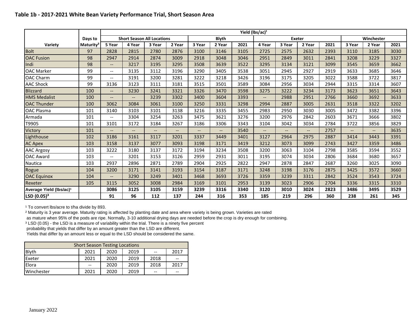#### **Table 1b - 2017-2021 White Bean Variety Performance Trial, Short Season Area**

|                                     |                       |                          |                          |                                   |        |        |                          |      | Yield (lbs/ac) <sup>1</sup> |        |                          |      |                          |                          |      |
|-------------------------------------|-----------------------|--------------------------|--------------------------|-----------------------------------|--------|--------|--------------------------|------|-----------------------------|--------|--------------------------|------|--------------------------|--------------------------|------|
|                                     | Days to               |                          |                          | <b>Short Season All Locations</b> |        |        | <b>Blyth</b>             |      |                             |        | <b>Exeter</b>            |      |                          | Winchester               |      |
| Variety                             | Maturity <sup>2</sup> | 5 Year                   | 4 Year                   | 3 Year                            | 2 Year | 3 Year | 2 Year                   | 2021 | 4 Year                      | 3 Year | 2 Year                   | 2021 | 3 Year                   | 2 Year                   | 2021 |
| <b>Bolt</b>                         | 97                    | 2828                     | 2815                     | 2780                              | 2876   | 3100   | 3146                     | 3105 | 2725                        | 2575   | 2632                     | 2393 | 3110                     | 3185                     | 3030 |
| <b>OAC Fusion</b>                   | 98                    | 2947                     | 2914                     | 2874                              | 3009   | 2918   | 3048                     | 3046 | 2951                        | 2849   | 3011                     | 2841 | 3208                     | 3229                     | 3327 |
| Indi                                | 98                    | $-$                      | 3217                     | 3195                              | 3295   | 3508   | 3639                     | 3522 | 3295                        | 3134   | 3121                     | 3099 | 3545                     | 3659                     | 3662 |
| <b>OAC Marker</b>                   | 99                    | $- -$                    | 3135                     | 3112                              | 3196   | 3290   | 3405                     | 3538 | 3051                        | 2945   | 2927                     | 2919 | 3633                     | 3685                     | 3646 |
| <b>OAC Charm</b>                    | 99                    | $\overline{a}$           | 3191                     | 3200                              | 3281   | 3222   | 3218                     | 3426 | 3196                        | 3175   | 3205                     | 3022 | 3588                     | 3722                     | 3817 |
| <b>AAC Shock</b>                    | 99                    | 3136                     | 3123                     | 3111                              | 3181   | 3515   | 3501                     | 3589 | 3084                        | 2956   | 3034                     | 2944 | 3315                     | 3314                     | 3607 |
| <b>Blizzard</b>                     | 100                   | $--$                     | 3230                     | 3241                              | 3321   | 3326   | 3470                     | 3598 | 3275                        | 3222   | 3234                     | 3173 | 3623                     | 3651                     | 3643 |
| <b>HMS Medalist</b>                 | 100                   | $- -$                    | $\overline{\phantom{a}}$ | 3239                              | 3302   | 3400   | 3604                     | 3393 | $\overline{\phantom{a}}$    | 2988   | 2951                     | 2766 | 3660                     | 3692                     | 3633 |
| <b>OAC Thunder</b>                  | 100                   | 3062                     | 3084                     | 3061                              | 3100   | 3250   | 3331                     | 3298 | 2994                        | 2887   | 3005                     | 2631 | 3518                     | 3322                     | 3202 |
| <b>OAC Plasma</b>                   | 101                   | 3140                     | 3103                     | 3101                              | 3138   | 3216   | 3335                     | 3455 | 2983                        | 2950   | 3030                     | 3005 | 3472                     | 3382                     | 3396 |
| Armada                              | 101                   | $\overline{a}$           | 3304                     | 3254                              | 3263   | 3475   | 3621                     | 3276 | 3200                        | 2976   | 2842                     | 2603 | 3671                     | 3666                     | 3802 |
| T9905                               | 101                   | 3101                     | 3172                     | 3184                              | 3267   | 3186   | 3306                     | 3343 | 3104                        | 3042   | 3034                     | 2784 | 3722                     | 3856                     | 3829 |
| Victory                             | 101                   | $\overline{a}$           | $--$                     | $-$                               | $--$   | $- -$  | $\overline{\phantom{a}}$ | 3540 | $\qquad \qquad -$           | $--$   | $\overline{\phantom{a}}$ | 2757 | $\overline{\phantom{a}}$ | $\overline{\phantom{a}}$ | 3635 |
| Lighthouse                          | 102                   | 3186                     | 3161                     | 3117                              | 3201   | 3337   | 3449                     | 3401 | 3127                        | 2964   | 2975                     | 2887 | 3414                     | 3443                     | 3391 |
| <b>AC Apex</b>                      | 103                   | 3158                     | 3137                     | 3077                              | 3093   | 3198   | 3171                     | 3419 | 3212                        | 3073   | 3099                     | 2743 | 3427                     | 3359                     | 3486 |
| <b>AAC Argosy</b>                   | 103                   | 3222                     | 3180                     | 3137                              | 3172   | 3194   | 3234                     | 3508 | 3200                        | 3063   | 3104                     | 2798 | 3585                     | 3594                     | 3552 |
| <b>OAC Award</b>                    | 103                   | $\overline{\phantom{a}}$ | 3201                     | 3153                              | 3126   | 2959   | 2931                     | 3011 | 3195                        | 3074   | 3034                     | 2806 | 3684                     | 3680                     | 3657 |
| Nautica                             | 103                   | 2937                     | 2896                     | 2871                              | 2789   | 2904   | 2925                     | 2822 | 2947                        | 2878   | 2847                     | 2687 | 3260                     | 3025                     | 3090 |
| Rogue                               | 104                   | 3200                     | 3171                     | 3141                              | 3193   | 3154   | 3187                     | 3171 | 3248                        | 3198   | 3176                     | 2875 | 3425                     | 3572                     | 3660 |
| <b>OAC Equinox</b>                  | 104                   | $-$                      | 3290                     | 3249                              | 3401   | 3468   | 3693                     | 3726 | 3359                        | 3239   | 3311                     | 2842 | 3524                     | 3543                     | 3724 |
| Rexeter                             | 105                   | 3115                     | 3052                     | 3008                              | 2984   | 3169   | 3101                     | 2953 | 3139                        | 3023   | 2906                     | 2704 | 3336                     | 3315                     | 3310 |
| Average Yield (Ibs/ac) <sup>1</sup> |                       | 3086                     | 3125                     | 3105                              | 3159   | 3239   | 3316                     | 3340 | 3120                        | 3010   | 3024                     | 2823 | 3486                     | 3495                     | 3529 |
| LSD (0.05) <sup>3</sup>             |                       | 91                       | 96                       | 112                               | 137    | 244    | 316                      | 353  | 185                         | 219    | 296                      | 360  | 238                      | 261                      | 345  |

<sup>1</sup> To convert lbs/acre to t/ha divide by 893.

² Maturity is 3 year average. Maturity rating is affected by planting date and area where variety is being grown. Varieties are rated

as mature when 95% of the pods are ripe. Normally, 3-10 additional drying days are needed before the crop is dry enough for combining.

<sup>3</sup> LSD (0.05) - the LSD is a measure of variability within the trial. There is a ninety five percent

probability that yields that differ by an amount greater than the LSD are different.

Yields that differ by an amount less or equal to the LSD should be considered the same.

| <b>Short Season Testing Locations</b>               |                                      |      |      |      |    |  |  |  |  |  |
|-----------------------------------------------------|--------------------------------------|------|------|------|----|--|--|--|--|--|
| <b>Blyth</b><br>2019<br>2020<br>2017<br>2021<br>$-$ |                                      |      |      |      |    |  |  |  |  |  |
| Exeter                                              | 2021                                 | 2020 | 2019 | 2018 | -- |  |  |  |  |  |
| Elora                                               | 2019<br>2018<br>2020<br>2017<br>--   |      |      |      |    |  |  |  |  |  |
| Winchester                                          | 2019<br>2021<br>2020<br>$-$<br>$- -$ |      |      |      |    |  |  |  |  |  |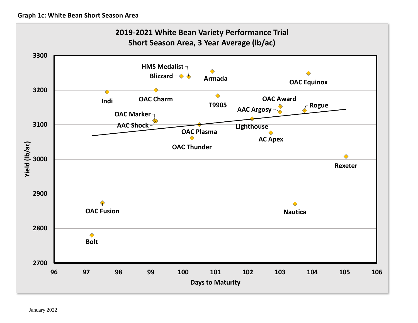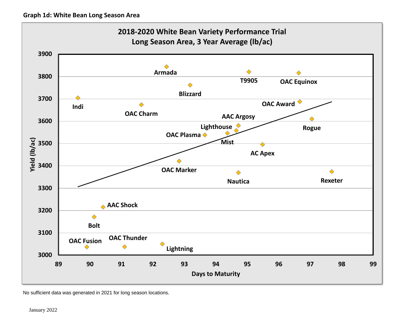

No sufficient data was generated in 2021 for long season locations.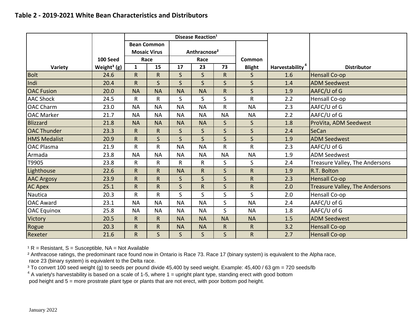|                     |                         |              | Disease Reaction <sup>1</sup> |              |                          |              |               |                             |                                       |
|---------------------|-------------------------|--------------|-------------------------------|--------------|--------------------------|--------------|---------------|-----------------------------|---------------------------------------|
|                     |                         |              | <b>Bean Common</b>            |              |                          |              |               |                             |                                       |
|                     |                         |              | <b>Mosaic Virus</b>           |              | Anthracnose <sup>2</sup> |              |               |                             |                                       |
|                     | 100 Seed                |              | Race                          |              | Race                     |              | Common        |                             |                                       |
| Variety             | Weight <sup>3</sup> (g) | $\mathbf{1}$ | 15                            | 17           | 23                       | 73           | <b>Blight</b> | Harvestability <sup>4</sup> | <b>Distributor</b>                    |
| <b>Bolt</b>         | 24.6                    | $\mathsf{R}$ | R                             | $\mathsf S$  | S                        | R.           | $\mathsf{S}$  | 1.6                         | <b>Hensall Co-op</b>                  |
| Indi                | 20.4                    | $\mathsf R$  | $\mathsf{S}$                  | $\mathsf{S}$ | S                        | $\mathsf{S}$ | $\mathsf{S}$  | 1.4                         | <b>ADM Seedwest</b>                   |
| <b>OAC Fusion</b>   | 20.0                    | <b>NA</b>    | <b>NA</b>                     | <b>NA</b>    | <b>NA</b>                | R            | $\mathsf{S}$  | 1.9                         | AAFC/U of G                           |
| <b>AAC Shock</b>    | 24.5                    | R            | R                             | S            | $\mathsf{S}$             | $\mathsf{S}$ | R             | 2.2                         | Hensall Co-op                         |
| <b>OAC Charm</b>    | 23.0                    | <b>NA</b>    | <b>NA</b>                     | <b>NA</b>    | <b>NA</b>                | R            | <b>NA</b>     | 2.3                         | AAFC/U of G                           |
| <b>OAC Marker</b>   | 21.7                    | <b>NA</b>    | <b>NA</b>                     | <b>NA</b>    | <b>NA</b>                | <b>NA</b>    | <b>NA</b>     | 2.2                         | AAFC/U of G                           |
| Blizzard            | 21.8                    | <b>NA</b>    | <b>NA</b>                     | <b>NA</b>    | <b>NA</b>                | $\mathsf{S}$ | $\mathsf{S}$  | 1.8                         | ProVita, ADM Seedwest                 |
| <b>OAC Thunder</b>  | 23.3                    | $\mathsf R$  | R                             | $\mathsf{S}$ | S                        | $\mathsf{S}$ | $\mathsf{S}$  | 2.4                         | <b>SeCan</b>                          |
| <b>HMS Medalist</b> | 20.9                    | $\mathsf R$  | $\mathsf{S}$                  | $\mathsf{S}$ | $\mathsf{S}$             | $\mathsf{S}$ | $\mathsf{S}$  | 1.9                         | <b>ADM Seedwest</b>                   |
| <b>OAC Plasma</b>   | 21.9                    | R            | R                             | <b>NA</b>    | <b>NA</b>                | R            | R             | 2.3                         | AAFC/U of G                           |
| Armada              | 23.8                    | <b>NA</b>    | <b>NA</b>                     | <b>NA</b>    | <b>NA</b>                | <b>NA</b>    | <b>NA</b>     | 1.9                         | <b>ADM Seedwest</b>                   |
| T9905               | 23.8                    | R            | R                             | R            | R.                       | S.           | S             | 2.4                         | Treasure Valley, The Andersons        |
| Lighthouse          | 22.6                    | $\mathsf R$  | R                             | <b>NA</b>    | R                        | $\mathsf{S}$ | $\mathsf R$   | 1.9                         | R.T. Bolton                           |
| <b>AAC Argosy</b>   | 23.9                    | R            | R.                            | $\mathsf{S}$ | $\mathsf{S}$             | $\mathsf{S}$ | $\mathsf{R}$  | 2.3                         | <b>Hensall Co-op</b>                  |
| <b>AC Apex</b>      | 25.1                    | $\mathsf{R}$ | R                             | $\mathsf{S}$ | $\mathsf R$              | $\mathsf{S}$ | $\mathsf R$   | 2.0                         | <b>Treasure Valley, The Andersons</b> |
| Nautica             | 20.3                    | $\mathsf R$  | R                             | S            | S                        | S.           | $\mathsf{S}$  | 2.0                         | Hensall Co-op                         |
| <b>OAC Award</b>    | 23.1                    | <b>NA</b>    | <b>NA</b>                     | <b>NA</b>    | <b>NA</b>                | $\mathsf{S}$ | <b>NA</b>     | 2.4                         | AAFC/U of G                           |
| <b>OAC</b> Equinox  | 25.8                    | <b>NA</b>    | <b>NA</b>                     | <b>NA</b>    | <b>NA</b>                | $\mathsf{S}$ | <b>NA</b>     | 1.8                         | AAFC/U of G                           |
| Victory             | 20.5                    | $\mathsf R$  | $\mathsf{R}$                  | <b>NA</b>    | <b>NA</b>                | <b>NA</b>    | <b>NA</b>     | 1.5                         | <b>ADM Seedwest</b>                   |
| Rogue               | 20.3                    | ${\sf R}$    | R                             | <b>NA</b>    | <b>NA</b>                | R            | $\mathsf{R}$  | 3.2                         | <b>Hensall Co-op</b>                  |
| Rexeter             | 21.6                    | $\mathsf R$  | $\mathsf{S}$                  | $\mathsf{S}$ | $\mathsf{S}$             | $\mathsf{S}$ | $\mathsf R$   | 2.7                         | <b>Hensall Co-op</b>                  |

 $R =$  Resistant, S = Susceptible, NA = Not Available

<sup>2</sup> Anthracose ratings, the predominant race found now in Ontario is Race 73. Race 17 (binary system) is equivalent to the Alpha race, race 23 (binary system) is equivalent to the Delta race.

<sup>3</sup> To convert 100 seed weight (g) to seeds per pound divide 45,400 by seed weight. Example: 45,400 / 63 gm = 720 seeds/lb

 $4$  A variety's harvestability is based on a scale of 1-5, where 1 = upright plant type, standing erect with good bottom pod height and 5 = more prostrate plant type or plants that are not erect, with poor bottom pod height.

January 2022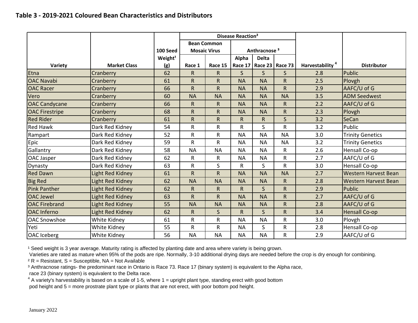|                       |                         |                     | Disease Reaction <sup>2</sup> |                     |              |                          |                 |                             |                             |
|-----------------------|-------------------------|---------------------|-------------------------------|---------------------|--------------|--------------------------|-----------------|-----------------------------|-----------------------------|
|                       |                         |                     |                               | <b>Bean Common</b>  |              |                          |                 |                             |                             |
|                       |                         | 100 Seed            |                               | <b>Mosaic Virus</b> |              | Anthracnose <sup>3</sup> |                 |                             |                             |
|                       |                         | Weight <sup>1</sup> |                               |                     | Alpha        | <b>Delta</b>             |                 |                             |                             |
| Variety               | <b>Market Class</b>     | (g)                 | Race 1                        | Race 15             | Race 17      |                          | Race 23 Race 73 | Harvestability <sup>4</sup> | <b>Distributor</b>          |
| Etna                  | Cranberry               | 62                  | $\mathsf{R}$                  | $\mathsf{R}$        | $\mathsf{S}$ | $\mathsf{S}$             | $\mathsf{S}$    | 2.8                         | <b>Public</b>               |
| <b>OAC Navabi</b>     | Cranberry               | 61                  | $\mathsf{R}$                  | R                   | <b>NA</b>    | <b>NA</b>                | $\mathsf{R}$    | 2.5                         | Plovgh                      |
| <b>OAC Racer</b>      | Cranberry               | 66                  | $\mathsf{R}$                  | R.                  | <b>NA</b>    | <b>NA</b>                | $\mathsf{R}$    | 2.9                         | AAFC/U of G                 |
| Vero                  | Cranberry               | 60                  | <b>NA</b>                     | <b>NA</b>           | <b>NA</b>    | <b>NA</b>                | <b>NA</b>       | 3.5                         | <b>ADM Seedwest</b>         |
| <b>OAC Candycane</b>  | Cranberry               | 66                  | $\mathsf{R}$                  | $\mathsf R$         | <b>NA</b>    | <b>NA</b>                | R               | 2.2                         | AAFC/U of G                 |
| <b>OAC Firestripe</b> | Cranberry               | 68                  | $\mathsf{R}$                  | R                   | <b>NA</b>    | <b>NA</b>                | $\mathsf{R}$    | 2.3                         | Plovgh                      |
| <b>Red Rider</b>      | Cranberry               | 61                  | ${\sf R}$                     | R                   | ${\sf R}$    | $\mathsf{R}$             | $\mathsf{S}$    | 3.2                         | SeCan                       |
| <b>Red Hawk</b>       | Dark Red Kidney         | 54                  | $\mathsf{R}$                  | $\mathsf{R}$        | R            | S                        | R               | 3.2                         | Public                      |
| Rampart               | Dark Red Kidney         | 52                  | $\mathsf R$                   | R                   | <b>NA</b>    | <b>NA</b>                | <b>NA</b>       | 3.0                         | <b>Trinity Genetics</b>     |
| Epic                  | Dark Red Kidney         | 59                  | $\mathsf{R}$                  | $\mathsf R$         | <b>NA</b>    | <b>NA</b>                | <b>NA</b>       | 3.2                         | <b>Trinity Genetics</b>     |
| Gallantry             | Dark Red Kidney         | 58                  | <b>NA</b>                     | <b>NA</b>           | <b>NA</b>    | <b>NA</b>                | R               | 2.6                         | Hensall Co-op               |
| OAC Jasper            | Dark Red Kidney         | 62                  | R                             | R                   | <b>NA</b>    | <b>NA</b>                | R               | 2.7                         | AAFC/U of G                 |
| Dynasty               | Dark Red Kidney         | 63                  | $\mathsf R$                   | S                   | R            | S                        | R               | 3.0                         | Hensall Co-op               |
| <b>Red Dawn</b>       | Light Red Kidney        | 61                  | $\mathsf R$                   | R                   | <b>NA</b>    | <b>NA</b>                | <b>NA</b>       | 2.7                         | <b>Western Harvest Bean</b> |
| <b>Big Red</b>        | <b>Light Red Kidney</b> | 62                  | <b>NA</b>                     | <b>NA</b>           | <b>NA</b>    | <b>NA</b>                | $\mathsf{R}$    | 2.8                         | <b>Western Harvest Bean</b> |
| <b>Pink Panther</b>   | <b>Light Red Kidney</b> | 62                  | $\mathsf{R}$                  | $\mathsf{R}$        | $\mathsf R$  | $\mathsf{S}$             | $\mathsf{R}$    | 2.9                         | Public                      |
| <b>OAC Jewel</b>      | Light Red Kidney        | 63                  | $\mathsf{R}$                  | R                   | <b>NA</b>    | <b>NA</b>                | R               | 2.7                         | AAFC/U of G                 |
| <b>OAC Firebrand</b>  | Light Red Kidney        | 55                  | <b>NA</b>                     | <b>NA</b>           | <b>NA</b>    | <b>NA</b>                | R               | 2.8                         | AAFC/U of G                 |
| <b>OAC</b> Inferno    | <b>Light Red Kidney</b> | 62                  | $\mathsf{R}$                  | $\mathsf{S}$        | $\mathsf{R}$ | $\mathsf{S}$             | $\mathsf{R}$    | 3.4                         | <b>Hensall Co-op</b>        |
| <b>OAC Snowshoe</b>   | White Kidney            | 61                  | $\mathsf{R}$                  | R                   | <b>NA</b>    | <b>NA</b>                | R               | 3.0                         | Plovgh                      |
| Yeti                  | White Kidney            | 55                  | $\mathsf{R}$                  | R                   | <b>NA</b>    | S                        | R               | 2.8                         | Hensall Co-op               |
| OAC Iceberg           | White Kidney            | 56                  | <b>NA</b>                     | <b>NA</b>           | <b>NA</b>    | <b>NA</b>                | R               | 2.9                         | AAFC/U of G                 |

<sup>1</sup> Seed weight is 3 year average. Maturity rating is affected by planting date and area where variety is being grown.

Varieties are rated as mature when 95% of the pods are ripe. Normally, 3-10 additional drying days are needed before the crop is dry enough for combining.

 $2 R$  = Resistant, S = Susceptible, NA = Not Available

<sup>3</sup> Anthracnose ratings- the predominant race in Ontario is Race 73. Race 17 (binary system) is equivalent to the Alpha race,

race 23 (binary system) is equivalent to the Delta race.

 $4$  A variety's harvestability is based on a scale of 1-5, where 1 = upright plant type, standing erect with good bottom pod height and 5 = more prostrate plant type or plants that are not erect, with poor bottom pod height.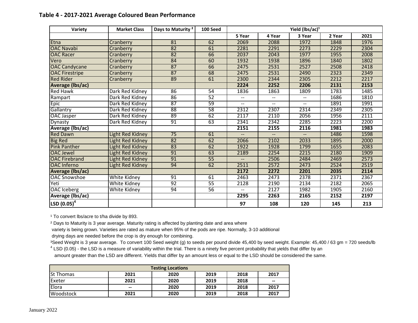| Variety                            | <b>Market Class</b> | Days to Maturity <sup>2</sup> | 100 Seed        | Yield (lbs/ac) <sup>1</sup> |        |        |        |      |  |  |  |
|------------------------------------|---------------------|-------------------------------|-----------------|-----------------------------|--------|--------|--------|------|--|--|--|
|                                    |                     |                               |                 | 5 Year                      | 4 Year | 3 Year | 2 Year | 2021 |  |  |  |
| Etna                               | Cranberry           | 81                            | 62              | 2069                        | 2088   | 1972   | 1848   | 1976 |  |  |  |
| <b>OAC Navabi</b>                  | Cranberry           | 82                            | 61              | 2281                        | 2291   | 2273   | 2229   | 2304 |  |  |  |
| <b>OAC Racer</b>                   | Cranberry           | 82                            | 66              | 2037                        | 2043   | 1977   | 1955   | 2008 |  |  |  |
| Vero                               | Cranberry           | 84                            | 60              | 1932                        | 1938   | 1896   | 1840   | 1802 |  |  |  |
| <b>OAC Candycane</b>               | Cranberry           | 87                            | 66              | 2475                        | 2531   | 2527   | 2508   | 2418 |  |  |  |
| <b>OAC Firestripe</b>              | Cranberry           | 87                            | 68              | 2475                        | 2531   | 2490   | 2323   | 2349 |  |  |  |
| <b>Red Rider</b>                   | Cranberry           | 89                            | 61              | 2300                        | 2344   | 2305   | 2212   | 2217 |  |  |  |
| Average (lbs/ac)                   |                     |                               |                 | 2224                        | 2252   | 2206   | 2131   | 2153 |  |  |  |
| <b>Red Hawk</b>                    | Dark Red Kidney     | 86                            | 54              | 1836                        | 1863   | 1809   | 1783   | 1485 |  |  |  |
| Rampart                            | Dark Red Kidney     | 86                            | 52              | --                          | $-$    | $-$    | 1686   | 1810 |  |  |  |
| Epic                               | Dark Red Kidney     | 87                            | 59              | --                          | --     | --     | 1891   | 1991 |  |  |  |
| Gallantry                          | Dark Red Kidney     | 88                            | 58              | 2312                        | 2307   | 2314   | 2349   | 2305 |  |  |  |
| OAC Jasper                         | Dark Red Kidney     | 89                            | 62              | 2117                        | 2110   | 2056   | 1956   | 2111 |  |  |  |
| Dynasty                            | Dark Red Kidney     | 91                            | 63              | 2341                        | 2342   | 2285   | 2223   | 2200 |  |  |  |
| Average (lbs/ac)                   |                     |                               |                 | 2151                        | 2155   | 2116   | 1981   | 1983 |  |  |  |
| <b>Red Dawn</b>                    | Light Red Kidney    | 75                            | 61              | --                          | $-$    | $-$    | 1486   | 1598 |  |  |  |
| <b>Big Red</b>                     | Light Red Kidney    | 82                            | 62              | 2066                        | 2102   | 2033   | 1895   | 2000 |  |  |  |
| <b>Pink Panther</b>                | Light Red Kidney    | 83                            | 62              | 1922                        | 1928   | 1799   | 1655   | 2083 |  |  |  |
| <b>OAC Jewel</b>                   | Light Red Kidney    | 91                            | 63              | 2189                        | 2254   | 2215   | 2180   | 1909 |  |  |  |
| <b>OAC Firebrand</b>               | Light Red Kidney    | 91                            | $\overline{55}$ | $\overline{a}$              | 2506   | 2484   | 2469   | 2573 |  |  |  |
| <b>OAC</b> Inferno                 | Light Red Kidney    | 94                            | 62              | 2511                        | 2572   | 2473   | 2524   | 2519 |  |  |  |
| <b>Average (Ibs/ac)</b>            |                     |                               |                 | 2172                        | 2272   | 2201   | 2035   | 2114 |  |  |  |
| <b>OAC Snowshoe</b>                | White Kidney        | 91                            | 61              | 2463                        | 2473   | 2378   | 2371   | 2367 |  |  |  |
| Yeti                               | <b>White Kidney</b> | 92                            | 55              | 2128                        | 2190   | 2134   | 2182   | 2065 |  |  |  |
| <b>OAC</b> Iceberg                 | White Kidney        | 94                            | 56              | $\overline{\phantom{a}}$    | 2127   | 1982   | 1905   | 2160 |  |  |  |
| Average (Ibs/ac)                   |                     |                               |                 | 2295                        | 2263   | 2165   | 2152   | 2197 |  |  |  |
| $\left $ LSD $\left(0.05\right)^4$ |                     |                               |                 | 97                          | 108    | 120    | 145    | 213  |  |  |  |

## **Table 4 - 2017-2021 Average Coloured Bean Performance**

<sup>1</sup> To convert lbs/acre to t/ha divide by 893.

² Days to Maturity is 3 year average. Maturity rating is affected by planting date and area where

variety is being grown. Varieties are rated as mature when 95% of the pods are ripe. Normally, 3-10 additional

drying days are needed before the crop is dry enough for combining.

<sup>3</sup>Seed Weight is 3 year average. To convert 100 Seed weight (g) to seeds per pound divide 45,400 by seed weight. Example: 45,400 / 63 gm = 720 seeds/lb  $4$  LSD (0.05) - the LSD is a measure of variability within the trial. There is a ninety five percent probability that yields that differ by an

amount greater than the LSD are different. Yields that differ by an amount less or equal to the LSD should be considered the same.

| <b>Testing Locations</b> |                                                |      |      |      |                 |  |  |  |  |
|--------------------------|------------------------------------------------|------|------|------|-----------------|--|--|--|--|
| <b>St Thomas</b>         | 2021                                           | 2020 | 2019 | 2018 | 2017            |  |  |  |  |
| <b>Exeter</b>            | 2021                                           | 2020 | 2019 | 2018 | $\qquad \qquad$ |  |  |  |  |
| Elora                    | $\hspace{0.1mm}-\hspace{0.1mm}-\hspace{0.1mm}$ | 2020 | 2019 | 2018 | 2017            |  |  |  |  |
| <b>Woodstock</b>         | 2021                                           | 2020 | 2019 | 2018 | 2017            |  |  |  |  |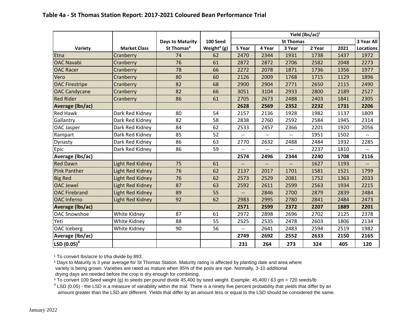|                                               |                         | <b>Days to Maturity</b> | 100 Seed                |                          |        | <b>St Thomas</b> |        |      | 3 Year All       |
|-----------------------------------------------|-------------------------|-------------------------|-------------------------|--------------------------|--------|------------------|--------|------|------------------|
| Variety                                       | <b>Market Class</b>     | St Thomas <sup>2</sup>  | Weight <sup>3</sup> (g) | 5 Year                   | 4 Year | 3 Year           | 2 Year | 2021 | <b>Locations</b> |
| Etna                                          | Cranberry               | 74                      | 62                      | 2470                     | 2344   | 1931             | 1738   | 1437 | 1972             |
| <b>OAC Navabi</b>                             | Cranberry               | 76                      | 61                      | 2872                     | 2872   | 2706             | 2582   | 2048 | 2273             |
| <b>OAC Racer</b>                              | Cranberry               | 78                      | 66                      | 2272                     | 2078   | 1871             | 1736   | 1356 | 1977             |
| Vero                                          | Cranberry               | 80                      | 60                      | 2126                     | 2009   | 1768             | 1715   | 1129 | 1896             |
| <b>OAC Firestripe</b>                         | Cranberry               | 82                      | 68                      | 2900                     | 2904   | 2771             | 2650   | 2115 | 2490             |
| <b>OAC Candycane</b>                          | Cranberry               | 82                      | 66                      | 3051                     | 3104   | 2933             | 2800   | 2189 | 2527             |
| <b>Red Rider</b>                              | Cranberry               | 86                      | 61                      | 2705                     | 2673   | 2488             | 2403   | 1841 | 2305             |
| <b>Average (Ibs/ac)</b>                       |                         |                         |                         | 2628                     | 2569   | 2352             | 2232   | 1731 | 2206             |
| Red Hawk                                      | Dark Red Kidney         | 80                      | 54                      | 2157                     | 2136   | 1928             | 1982   | 1137 | 1809             |
| Gallantry                                     | Dark Red Kidney         | 82                      | 58                      | 2838                     | 2760   | 2592             | 2584   | 1945 | 2314             |
| OAC Jasper                                    | Dark Red Kidney         | 84                      | 62                      | 2533                     | 2457   | 2366             | 2201   | 1920 | 2056             |
| Rampart                                       | Dark Red Kidney         | 85                      | 52                      |                          |        |                  | 1951   | 1502 |                  |
| Dynasty                                       | Dark Red Kidney         | 86                      | 63                      | 2770                     | 2632   | 2488             | 2484   | 1932 | 2285             |
| Epic                                          | Dark Red Kidney         | 86                      | 59                      |                          |        |                  | 2237   | 1810 |                  |
| Average (Ibs/ac)                              |                         |                         |                         | 2574                     | 2496   | 2344             | 2240   | 1708 | 2116             |
| <b>Red Dawn</b>                               | Light Red Kidney        | 75                      | 61                      |                          |        | --               | 1627   | 1193 |                  |
| <b>Pink Panther</b>                           | <b>Light Red Kidney</b> | 76                      | 62                      | 2137                     | 2017   | 1701             | 1581   | 1521 | 1799             |
| <b>Big Red</b>                                | Light Red Kidney        | 76                      | 62                      | 2573                     | 2529   | 2081             | 1752   | 1363 | 2033             |
| <b>OAC Jewel</b>                              | <b>Light Red Kidney</b> | 87                      | 63                      | 2592                     | 2611   | 2599             | 2563   | 1934 | 2215             |
| <b>OAC Firebrand</b>                          | <b>Light Red Kidney</b> | 89                      | 55                      | $\overline{\phantom{0}}$ | 2846   | 2700             | 2879   | 2839 | 2484             |
| <b>OAC</b> Inferno                            | Light Red Kidney        | 92                      | 62                      | 2983                     | 2995   | 2780             | 2841   | 2484 | 2473             |
| <b>Average (Ibs/ac)</b>                       |                         |                         |                         | 2571                     | 2599   | 2372             | 2207   | 1889 | 2201             |
| OAC Snowshoe                                  | White Kidney            | 87                      | 61                      | 2972                     | 2898   | 2696             | 2702   | 2125 | 2378             |
| Yeti                                          | White Kidney            | 88                      | 55                      | 2525                     | 2535   | 2478             | 2603   | 1806 | 2134             |
| <b>OAC</b> Iceberg                            | White Kidney            | 90                      | 56                      | $\overline{\phantom{a}}$ | 2641   | 2483             | 2594   | 2519 | 1982             |
| Average (lbs/ac)                              |                         |                         |                         | 2749                     | 2692   | 2552             | 2633   | 2150 | 2165             |
| $\overline{\textsf{LSD}^4 \texttt{(0.05)}^4}$ |                         |                         |                         | 231                      | 264    | 273              | 324    | 405  | 120              |

<sup>1</sup> To convert lbs/acre to t/ha divide by 893.

<sup>2</sup> Days to Maturity is 3 year average for St Thomas Station. Maturity rating is affected by planting date and area where variety is being grown. Varieties are rated as mature when 95% of the pods are ripe. Normally, 3-10 additional drying days are needed before the crop is dry enough for combining.

<sup>3</sup> To convert 100 Seed weight (g) to seeds per pound divide 45,400 by seed weight. Example: 45,400 / 63 gm = 720 seeds/lb

 $4$  LSD (0.05) - the LSD is a measure of variability within the trial. There is a ninety five percent probability that yields that differ by an amount greater than the LSD are different. Yields that differ by an amount less or equal to the LSD should be considered the same.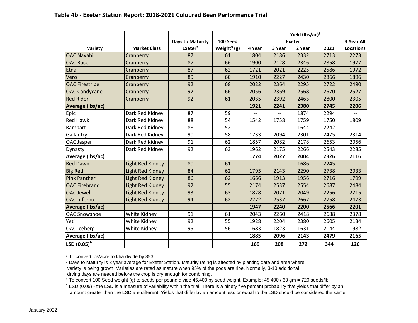|                         |                         |                         |                         | Yield (lbs/ac) <sup>1</sup> |                |               |      |                  |
|-------------------------|-------------------------|-------------------------|-------------------------|-----------------------------|----------------|---------------|------|------------------|
|                         |                         | <b>Days to Maturity</b> | 100 Seed                |                             |                | <b>Exeter</b> |      | 3 Year All       |
| Variety                 | <b>Market Class</b>     | Exeter <sup>2</sup>     | Weight <sup>3</sup> (g) | 4 Year                      | 3 Year         | 2 Year        | 2021 | <b>Locations</b> |
| <b>OAC Navabi</b>       | Cranberry               | 87                      | 61                      | 1804                        | 2186           | 2332          | 2713 | 2273             |
| <b>OAC Racer</b>        | Cranberry               | 87                      | 66                      | 1900                        | 2128           | 2346          | 2858 | 1977             |
| Etna                    | Cranberry               | 87                      | 62                      | 1721                        | 2021           | 2225          | 2586 | 1972             |
| Vero                    | Cranberry               | 89                      | 60                      | 1910                        | 2227           | 2430          | 2866 | 1896             |
| <b>OAC Firestripe</b>   | Cranberry               | 92                      | 68                      | 2022                        | 2364           | 2295          | 2722 | 2490             |
| <b>OAC Candycane</b>    | Cranberry               | 92                      | 66                      | 2056                        | 2369           | 2568          | 2670 | 2527             |
| <b>Red Rider</b>        | Cranberry               | 92                      | 61                      | 2035                        | 2392           | 2463          | 2800 | 2305             |
| <b>Average (Ibs/ac)</b> |                         |                         |                         | 1921                        | 2241           | 2380          | 2745 | 2206             |
| Epic                    | Dark Red Kidney         | 87                      | 59                      | $-$                         | $\overline{a}$ | 1874          | 2294 | $-$              |
| <b>Red Hawk</b>         | Dark Red Kidney         | 88                      | 54                      | 1542                        | 1758           | 1759          | 1750 | 1809             |
| Rampart                 | Dark Red Kidney         | 88                      | 52                      |                             |                | 1644          | 2242 | --               |
| Gallantry               | Dark Red Kidney         | 90                      | 58                      | 1733                        | 2094           | 2301          | 2475 | 2314             |
| OAC Jasper              | Dark Red Kidney         | 91                      | 62                      | 1857                        | 2082           | 2178          | 2653 | 2056             |
| Dynasty                 | Dark Red Kidney         | 92                      | 63                      | 1962                        | 2175           | 2266          | 2543 | 2285             |
| Average (lbs/ac)        |                         |                         |                         | 1774                        | 2027           | 2004          | 2326 | 2116             |
| <b>Red Dawn</b>         | <b>Light Red Kidney</b> | 80                      | 61                      | $-$                         | $-$            | 1686          | 2245 |                  |
| <b>Big Red</b>          | Light Red Kidney        | 84                      | 62                      | 1795                        | 2143           | 2290          | 2738 | 2033             |
| <b>Pink Panther</b>     | <b>Light Red Kidney</b> | 86                      | 62                      | 1666                        | 1913           | 1956          | 2716 | 1799             |
| <b>OAC Firebrand</b>    | Light Red Kidney        | 92                      | 55                      | 2174                        | 2537           | 2554          | 2687 | 2484             |
| <b>OAC Jewel</b>        | <b>Light Red Kidney</b> | 93                      | 63                      | 1828                        | 2071           | 2049          | 2256 | 2215             |
| <b>OAC</b> Inferno      | Light Red Kidney        | 94                      | 62                      | 2272                        | 2537           | 2667          | 2758 | 2473             |
| <b>Average (Ibs/ac)</b> |                         |                         |                         | 1947                        | 2240           | 2200          | 2566 | 2201             |
| <b>OAC Snowshoe</b>     | White Kidney            | 91                      | 61                      | 2043                        | 2260           | 2418          | 2688 | 2378             |
| Yeti                    | White Kidney            | 92                      | 55                      | 1928                        | 2204           | 2380          | 2605 | 2134             |
| OAC Iceberg             | White Kidney            | 95                      | 56                      | 1683                        | 1823           | 1631          | 2144 | 1982             |
| Average (lbs/ac)        |                         |                         |                         | 1885                        | 2096           | 2143          | 2479 | 2165             |
| LSD $(0.05)^4$          |                         |                         |                         | 169                         | 208            | 272           | 344  | 120              |

### **Table 4b - Exeter Station Report: 2018-2021 Coloured Bean Performance Trial**

<sup>1</sup> To convert lbs/acre to t/ha divide by 893.

² Days to Maturity is 3 year average for Exeter Station. Maturity rating is affected by planting date and area where variety is being grown. Varieties are rated as mature when 95% of the pods are ripe. Normally, 3-10 additional drying days are needed before the crop is dry enough for combining.

<sup>3</sup> To convert 100 Seed weight (g) to seeds per pound divide 45,400 by seed weight. Example: 45,400 / 63 gm = 720 seeds/lb

 $4$  LSD (0.05) - the LSD is a measure of variability within the trial. There is a ninety five percent probability that yields that differ by an amount greater than the LSD are different. Yields that differ by an amount less or equal to the LSD should be considered the same.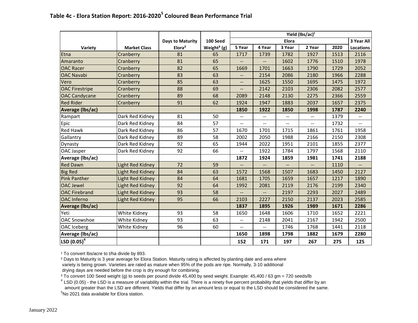|                          |                         |                         |                         | Yield (lbs/ac) <sup>1</sup>                   |                          |              |        |      |            |
|--------------------------|-------------------------|-------------------------|-------------------------|-----------------------------------------------|--------------------------|--------------|--------|------|------------|
|                          |                         | <b>Days to Maturity</b> | 100 Seed                |                                               |                          | <b>Elora</b> |        |      | 3 Year All |
| Variety                  | <b>Market Class</b>     | Elora <sup>2</sup>      | Weight <sup>3</sup> (g) | 5 Year                                        | 4 Year                   | 3 Year       | 2 Year | 2020 | Locations  |
| Etna                     | Cranberry               | 81                      | 65                      | 1717                                          | 1739                     | 1782         | 1927   | 1513 | 2116       |
| Amaranto                 | Cranberry               | 81                      | 65                      |                                               |                          | 1602         | 1776   | 1510 | 1978       |
| <b>OAC Racer</b>         | Cranberry               | 82                      | 65                      | 1669                                          | 1701                     | 1663         | 1790   | 1729 | 2052       |
| <b>OAC Navabi</b>        | Cranberry               | 83                      | 63                      | $\overline{\phantom{a}}$                      | 2154                     | 2086         | 2180   | 1966 | 2288       |
| Vero                     | Cranberry               | 85                      | 63                      | --                                            | 1625                     | 1550         | 1695   | 1475 | 1972       |
| <b>OAC Firestripe</b>    | Cranberry               | 88                      | 69                      | --                                            | 2142                     | 2103         | 2306   | 2082 | 2577       |
| <b>OAC Candycane</b>     | Cranberry               | 89                      | 68                      | 2089                                          | 2148                     | 2130         | 2275   | 2366 | 2559       |
| <b>Red Rider</b>         | Cranberry               | 91                      | 62                      | 1924                                          | 1947                     | 1883         | 2037   | 1657 | 2375       |
| <b>Average (Ibs/ac)</b>  |                         |                         |                         | 1850                                          | 1922                     | 1850         | 1998   | 1787 | 2240       |
| Rampart                  | Dark Red Kidney         | 81                      | 50                      | --                                            | --                       | --           | --     | 1379 |            |
| Epic                     | Dark Red Kidney         | 84                      | 57                      | $\mathord{\hspace{1pt}\text{--}\hspace{1pt}}$ | $\overline{\phantom{a}}$ | --           | --     | 1732 | --         |
| <b>Red Hawk</b>          | Dark Red Kidney         | 86                      | 57                      | 1670                                          | 1701                     | 1715         | 1861   | 1761 | 1958       |
| Gallantry                | Dark Red Kidney         | 89                      | 58                      | 2002                                          | 2050                     | 1988         | 2166   | 2150 | 2308       |
| Dynasty                  | Dark Red Kidney         | 92                      | 65                      | 1944                                          | 2022                     | 1951         | 2101   | 1855 | 2377       |
| <b>OAC Jasper</b>        | Dark Red Kidney         | 92                      | 66                      |                                               | 1922                     | 1784         | 1797   | 1568 | 2110       |
| Average (Ibs/ac)         |                         |                         |                         | 1872                                          | 1924                     | 1859         | 1981   | 1741 | 2188       |
| <b>Red Dawn</b>          | <b>Light Red Kidney</b> | 72                      | 59                      |                                               |                          |              |        | 1110 |            |
| <b>Big Red</b>           | <b>Light Red Kidney</b> | 84                      | 63                      | 1572                                          | 1568                     | 1507         | 1683   | 1450 | 2127       |
| <b>Pink Panther</b>      | <b>Light Red Kidney</b> | 84                      | 64                      | 1681                                          | 1705                     | 1659         | 1657   | 1217 | 1890       |
| <b>OAC Jewel</b>         | Light Red Kidney        | 92                      | 64                      | 1992                                          | 2081                     | 2119         | 2176   | 2199 | 2340       |
| <b>OAC Firebrand</b>     | <b>Light Red Kidney</b> | 93                      | 58                      | --                                            | $\overline{\phantom{m}}$ | 2197         | 2293   | 2027 | 2489       |
| <b>OAC</b> Inferno       | <b>Light Red Kidney</b> | 95                      | 66                      | 2103                                          | 2227                     | 2150         | 2137   | 2023 | 2585       |
| <b>Average (Ibs/ac)</b>  |                         |                         |                         | 1837                                          | 1895                     | 1926         | 1989   | 1671 | 2286       |
| Yeti                     | White Kidney            | 93                      | 58                      | 1650                                          | 1648                     | 1606         | 1710   | 1652 | 2221       |
| <b>OAC Snowshoe</b>      | White Kidney            | 93                      | 63                      | --                                            | 2148                     | 2041         | 2167   | 1942 | 2500       |
| <b>OAC</b> Iceberg       | White Kidney            | 96                      | 60                      | $\mathord{\hspace{1pt}\text{--}\hspace{1pt}}$ | --                       | 1746         | 1768   | 1441 | 2118       |
| Average (Ibs/ac)         |                         |                         |                         | 1650                                          | 1898                     | 1798         | 1882   | 1679 | 2280       |
| $\left $ LSD (0.05) $^4$ |                         |                         |                         | 152                                           | 171                      | 197          | 267    | 275  | 125        |

<sup>1</sup> To convert lbs/acre to t/ha divide by 893.

² Days to Maturity is 3 year average for Elora Station. Maturity rating is affected by planting date and area where variety is being grown. Varieties are rated as mature when 95% of the pods are ripe. Normally, 3-10 additional drying days are needed before the crop is dry enough for combining.

³ To convert 100 Seed weight (g) to seeds per pound divide 45,400 by seed weight. Example: 45,400 / 63 gm = 720 seeds/lb

 $4$  LSD (0.05) - the LSD is a measure of variability within the trial. There is a ninety five percent probability that yields that differ by an amount greater than the LSD are different. Yields that differ by an amount less or equal to the LSD should be considered the same.  $5$ No 2021 data available for Elora station.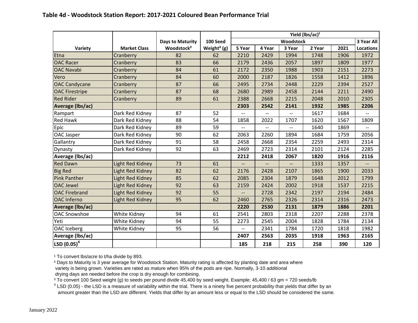|                         |                         |                         |                         | Yield (lbs/ac) <sup>1</sup> |                          |                          |        |      |                  |
|-------------------------|-------------------------|-------------------------|-------------------------|-----------------------------|--------------------------|--------------------------|--------|------|------------------|
|                         |                         | <b>Days to Maturity</b> | 100 Seed                | Woodstock                   |                          |                          |        |      | 3 Year All       |
| Variety                 | <b>Market Class</b>     | Woodstock <sup>2</sup>  | Weight <sup>3</sup> (g) | 5 Year                      | 4 Year                   | 3 Year                   | 2 Year | 2021 | <b>Locations</b> |
| Etna                    | Cranberry               | 82                      | 62                      | 2210                        | 2429                     | 1994                     | 1748   | 1906 | 1972             |
| <b>OAC Racer</b>        | Cranberry               | 83                      | 66                      | 2179                        | 2436                     | 2057                     | 1897   | 1809 | 1977             |
| <b>OAC Navabi</b>       | Cranberry               | 84                      | 61                      | 2172                        | 2350                     | 1988                     | 1903   | 2151 | 2273             |
| Vero                    | Cranberry               | 84                      | 60                      | 2000                        | 2187                     | 1826                     | 1558   | 1412 | 1896             |
| <b>OAC Candycane</b>    | Cranberry               | 87                      | 66                      | 2495                        | 2734                     | 2448                     | 2229   | 2394 | 2527             |
| <b>OAC Firestripe</b>   | Cranberry               | 87                      | 68                      | 2680                        | 2989                     | 2458                     | 2144   | 2211 | 2490             |
| <b>Red Rider</b>        | Cranberry               | 89                      | 61                      | 2388                        | 2668                     | 2215                     | 2048   | 2010 | 2305             |
| <b>Average (Ibs/ac)</b> |                         |                         |                         | 2303                        | 2542                     | 2141                     | 1932   | 1985 | 2206             |
| Rampart                 | Dark Red Kidney         | 87                      | 52                      | $\overline{\phantom{a}}$    | $\overline{a}$           | $- -$                    | 1617   | 1684 | $-$              |
| <b>Red Hawk</b>         | Dark Red Kidney         | 88                      | 54                      | 1858                        | 2022                     | 1707                     | 1620   | 1567 | 1809             |
| Epic                    | Dark Red Kidney         | 89                      | 59                      |                             | $-$                      |                          | 1640   | 1869 |                  |
| OAC Jasper              | Dark Red Kidney         | 90                      | 62                      | 2063                        | 2260                     | 1894                     | 1684   | 1759 | 2056             |
| Gallantry               | Dark Red Kidney         | 91                      | 58                      | 2458                        | 2668                     | 2354                     | 2259   | 2493 | 2314             |
| Dynasty                 | Dark Red Kidney         | 92                      | 63                      | 2469                        | 2723                     | 2314                     | 2101   | 2124 | 2285             |
| Average (Ibs/ac)        |                         |                         |                         | 2212                        | 2418                     | 2067                     | 1820   | 1916 | 2116             |
| <b>Red Dawn</b>         | Light Red Kidney        | 73                      | 61                      | $-$                         | $\overline{\phantom{a}}$ | $\overline{\phantom{a}}$ | 1333   | 1357 |                  |
| <b>Big Red</b>          | Light Red Kidney        | 82                      | 62                      | 2176                        | 2428                     | 2107                     | 1865   | 1900 | 2033             |
| <b>Pink Panther</b>     | <b>Light Red Kidney</b> | 85                      | 62                      | 2085                        | 2304                     | 1879                     | 1648   | 2012 | 1799             |
| OAC Jewel               | Light Red Kidney        | 92                      | 63                      | 2159                        | 2424                     | 2002                     | 1918   | 1537 | 2215             |
| <b>OAC Firebrand</b>    | <b>Light Red Kidney</b> | 92                      | 55                      |                             | 2728                     | 2342                     | 2197   | 2194 | 2484             |
| <b>OAC</b> Inferno      | <b>Light Red Kidney</b> | 95                      | 62                      | 2460                        | 2765                     | 2326                     | 2314   | 2316 | 2473             |
| Average (Ibs/ac)        |                         |                         |                         | 2220                        | 2530                     | 2131                     | 1879   | 1886 | 2201             |
| <b>OAC Snowshoe</b>     | White Kidney            | 94                      | 61                      | 2541                        | 2803                     | 2318                     | 2207   | 2288 | 2378             |
| Yeti                    | White Kidney            | 94                      | 55                      | 2273                        | 2545                     | 2004                     | 1828   | 1784 | 2134             |
| <b>OAC</b> Iceberg      | White Kidney            | 95                      | 56                      | $\overline{\phantom{a}}$    | 2341                     | 1784                     | 1720   | 1818 | 1982             |

**Average (lbs/ac) 2407 2563 2035 1918 1963 2165**

**185 218 215 258 390 120**

<sup>1</sup> To convert lbs/acre to t/ha divide by 893.

**LSD (0.05)<sup>4</sup>**

² Days to Maturity is 3 year average for Woodstock Station. Maturity rating is affected by planting date and area where variety is being grown. Varieties are rated as mature when 95% of the pods are ripe. Normally, 3-10 additional drying days are needed before the crop is dry enough for combining.

<sup>3</sup> To convert 100 Seed weight (g) to seeds per pound divide 45,400 by seed weight. Example: 45,400 / 63 gm = 720 seeds/lb

 $4$  LSD (0.05) - the LSD is a measure of variability within the trial. There is a ninety five percent probability that yields that differ by an amount greater than the LSD are different. Yields that differ by an amount less or equal to the LSD should be considered the same.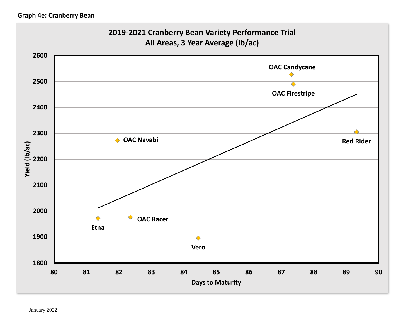# **Graph 4e: Cranberry Bean**

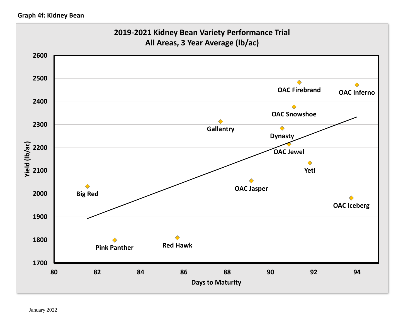# **Graph 4f: Kidney Bean**

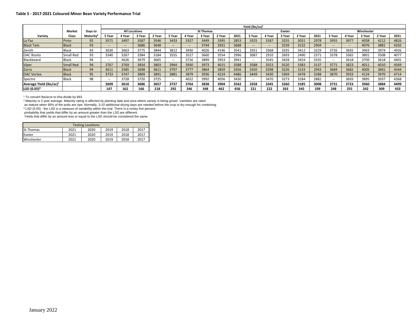|                                     |                  |                       |        | Yield (lbs/ac) <sup>1</sup> |                      |        |                  |                          |        |        |      |                          |                          |            |        |      |        |        |        |        |      |
|-------------------------------------|------------------|-----------------------|--------|-----------------------------|----------------------|--------|------------------|--------------------------|--------|--------|------|--------------------------|--------------------------|------------|--------|------|--------|--------|--------|--------|------|
|                                     | <b>Market</b>    | Days to               |        |                             | <b>All Locations</b> |        | <b>St Thomas</b> |                          |        | Exeter |      |                          |                          | Winchester |        |      |        |        |        |        |      |
| Variety                             | Class            | Maturity <sup>2</sup> | 5 Year | 4 Year                      | 3 Year               | 2 Year | 5 Year           | 4 Year                   | 3 Year | 2 Year | 2021 | 5 Year                   | 4 Year                   | 3 Year     | 2 Year | 2021 | 5 Year | 4 Year | 3 Year | 2 Year | 2021 |
| La Paz                              | Pinto            | 92                    | 3571   | 3497                        | 3587                 | 3546   | 3433             | 3327                     | 3449   | 3395   | 2853 | 3325                     | 3187                     | 3255       | 3031   | 2978 | 3955   | 3977   | 4058   | 4212   | 4826 |
| <b>Black Tails</b>                  | <b>Black</b>     | 93                    | $- -$  | $\sim$ $\sim$               | 3686                 | 3648   | $- -$            | $\overline{\phantom{a}}$ | 3744   | 3931   | 3688 | $\sim$                   | $\overline{\phantom{a}}$ | 3239       | 3132   | 2904 | $-1$   | $\sim$ | 4076   | 3881   | 4265 |
| Zenith                              | <b>Black</b>     | 93                    | 3630   | 3663                        | 3775                 | 3844   | 3812             | 3930                     | 4026   | 4146   | 3541 | 3351                     | 3368                     | 3335       | 3412   | 3229 | 3726   | 3692   | 3963   | 3974   | 4926 |
| <b>OAC Rosito</b>                   | Small Red        | 93                    | 3340   | 3267                        | 3384                 | 3184   | 3555             | 3527                     | 3660   | 3554   | 2996 | 3087                     | 2910                     | 2693       | 2490   | 2371 | 3378   | 3365   | 3801   | 3508   | 4077 |
| Blackbeard                          | <b>Black</b>     | 94                    | $- -$  | 3626                        | 3679                 | 3665   | $- -$            | 3716                     | 3899   | 3953   | 3941 | $\overline{\phantom{a}}$ | 3545                     | 3428       | 3424   | 3335 | $\sim$ | 3618   | 3709   | 3618   | 4401 |
| <b>Viper</b>                        | <b>Small Red</b> | 94                    | 3767   | 3769                        | 3834                 | 3803   | 3944             | 3930                     | 3973   | 4015   | 3588 | 3588                     | 3553                     | 3520       | 3383   | 3137 | 3771   | 3823   | 4011   | 4010   | 4569 |
| Zorro                               | <b>Black</b>     | 94                    | 3611   | 3585                        | 3698                 | 3611   | 3797             | 3777                     | 3864   | 3859   | 3356 | 3350                     | 3298                     | 3226       | 3133   | 2943 | 3684   | 3682   | 4005   | 3841   | 4344 |
| <b>OAC Vortex</b>                   | <b>Black</b>     | 95                    | 3733   | 3747                        | 3809                 | 3891   | 3881             | 3879                     | 3936   | 4224   | 4486 | 3449                     | 3430                     | 3369       | 3478   | 3288 | 3870   | 3933   | 4124   | 3970   | 4714 |
| Spectre                             | <b>Black</b>     | 98                    | $- -$  | 3728                        | 3720                 | 3725   | $\sim$           | 4022                     | 3992   | 4056   | 3430 | $\overline{\phantom{a}}$ | 3470                     | 3273       | 3184   | 2882 | $\sim$ | 3693   | 3895   | 3937   | 4368 |
| Average Yield (lbs/ac) <sup>1</sup> |                  |                       | 3609   | 3610                        | 3686                 | 3657   | 3737             | 3764                     | 3838   | 3904   | 3542 | 3358                     | 3345                     | 3260       | 3185   | 3008 | 3731   | 3723   | 3960   | 3884   | 4499 |
| LSD (0.05) <sup>3</sup>             |                  |                       | 147    | 162                         | 166                  | 218    | 292              | 346                      | 348    | 462    | 656  | 221                      | 222                      | 263        | 345    | 339  | 248    | 255    | 242    | 309    | 433  |

<sup>1</sup> To convert lbs/acre to t/ha divide by 893.

² Maturity is 3 year average. Maturity rating is affected by planting date and area where variety is being grown. Varieties are rated

as mature when 95% of the pods are ripe. Normally, 3-10 additional drying days are needed before the crop is dry enough for combining.

<sup>3</sup> LSD (0.05) - the LSD is a measure of variability within the trial. There is a ninety five percent

probability that yields that differ by an amount greater than the LSD are different.

Yields that differ by an amount less or equal to the LSD should be considered the same.

| <b>Testing Locations</b> |      |      |      |      |      |  |  |  |  |
|--------------------------|------|------|------|------|------|--|--|--|--|
| <b>St Thomas</b>         | 2021 | 2020 | 2019 | 2018 | 2017 |  |  |  |  |
| Exeter                   | 2021 | 2020 | 2019 | 2018 | 2017 |  |  |  |  |
| Winchester               | 2021 | 2020 | 2019 | 2018 | 2017 |  |  |  |  |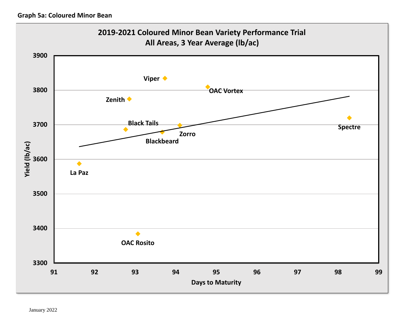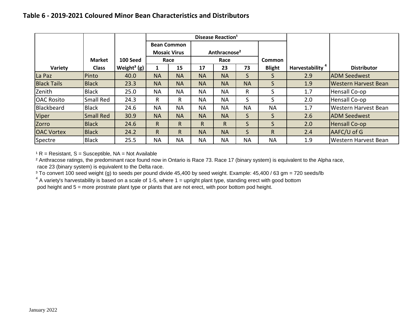|                    |                               |                                     |           |                                           |                          | Disease Reaction <sup>1</sup> |                         |                             |                    |                             |
|--------------------|-------------------------------|-------------------------------------|-----------|-------------------------------------------|--------------------------|-------------------------------|-------------------------|-----------------------------|--------------------|-----------------------------|
|                    |                               |                                     |           | <b>Bean Common</b><br><b>Mosaic Virus</b> | Anthracnose <sup>2</sup> |                               |                         |                             |                    |                             |
| Variety            | <b>Market</b><br><b>Class</b> | 100 Seed<br>Weight <sup>3</sup> (g) |           | Race<br>15                                | Race<br>73<br>17<br>23   |                               | Common<br><b>Blight</b> | Harvestability <sup>4</sup> | <b>Distributor</b> |                             |
| La Paz             | Pinto                         | 40.0                                | <b>NA</b> | <b>NA</b>                                 | <b>NA</b>                | <b>NA</b>                     | S                       | S                           | 2.9                | <b>ADM Seedwest</b>         |
| <b>Black Tails</b> | <b>Black</b>                  | 23.3                                | <b>NA</b> | <b>NA</b>                                 | <b>NA</b>                | <b>NA</b>                     | <b>NA</b>               | $\mathsf{S}$                | 1.9                | <b>Western Harvest Bean</b> |
| Zenith             | <b>Black</b>                  | 25.0                                | <b>NA</b> | <b>NA</b>                                 | <b>NA</b>                | <b>NA</b>                     | R                       | $\mathsf{S}$                | 1.7                | Hensall Co-op               |
| <b>OAC Rosito</b>  | Small Red                     | 24.3                                | R         | R                                         | <b>NA</b>                | <b>NA</b>                     | S                       | S                           | 2.0                | Hensall Co-op               |
| Blackbeard         | <b>Black</b>                  | 24.6                                | <b>NA</b> | <b>NA</b>                                 | <b>NA</b>                | <b>NA</b>                     | <b>NA</b>               | <b>NA</b>                   | 1.7                | Western Harvest Bean        |
| Viper              | <b>Small Red</b>              | 30.9                                | <b>NA</b> | <b>NA</b>                                 | <b>NA</b>                | <b>NA</b>                     | $\mathsf{S}$            | S.                          | 2.6                | <b>ADM Seedwest</b>         |
| Zorro              | <b>Black</b>                  | 24.6                                | R         | R.                                        | $\mathsf{R}$             | R.                            | S.                      | S                           | 2.0                | Hensall Co-op               |
| <b>OAC Vortex</b>  | <b>Black</b>                  | 24.2                                | R.        | R.                                        | <b>NA</b>                | <b>NA</b>                     | S.                      | R.                          | 2.4                | AAFC/U of G                 |
| Spectre            | <b>Black</b>                  | 25.5                                | <b>NA</b> | <b>NA</b>                                 | <b>NA</b>                | <b>NA</b>                     | <b>NA</b>               | <b>NA</b>                   | 1.9                | Western Harvest Bean        |

 $R =$  Resistant, S = Susceptible, NA = Not Available

² Anthracose ratings, the predominant race found now in Ontario is Race 73. Race 17 (binary system) is equivalent to the Alpha race, race 23 (binary system) is equivalent to the Delta race.

<sup>3</sup> To convert 100 seed weight (g) to seeds per pound divide 45,400 by seed weight. Example: 45,400 / 63 gm = 720 seeds/lb

 $4$  A variety's harvestability is based on a scale of 1-5, where 1 = upright plant type, standing erect with good bottom pod height and 5 = more prostrate plant type or plants that are not erect, with poor bottom pod height.